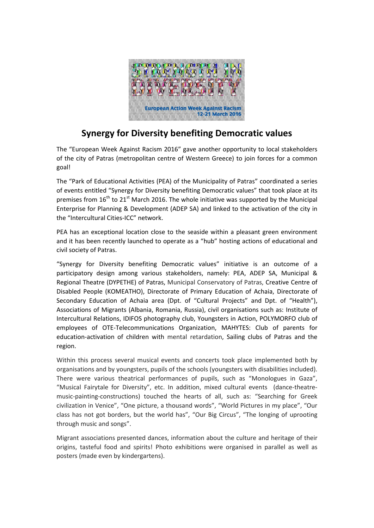

## **Synergy for Diversity benefiting Democratic values**

The "European Week Against Racism 2016" gave another opportunity to local stakeholders of the city of Patras (metropolitan centre of Western Greece) to join forces for a common goal!

The "Park of Educational Activities (PEA) of the Municipality of Patras" coordinated a series of events entitled "Synergy for Diversity benefiting Democratic values" that took place at its premises from  $16^{th}$  to  $21^{st}$  March 2016. The whole initiative was supported by the Municipal Enterprise for Planning & Development (ADEP SA) and linked to the activation of the city in the "Intercultural Cities-ICC" network.

PEA has an exceptional location close to the seaside within a pleasant green environment and it has been recently launched to operate as a "hub" hosting actions of educational and civil society of Patras.

"Synergy for Diversity benefiting Democratic values" initiative is an outcome of a participatory design among various stakeholders, namely: PEA, ADEP SA, Municipal & Regional Theatre (DYPETHE) of Patras, Municipal Conservatory of Patras, Creative Centre of Disabled People (KOMEATHO), Directorate of Primary Education of Achaia, Directorate of Secondary Education of Achaia area (Dpt. of "Cultural Projects" and Dpt. of "Health"), Associations of Migrants (Albania, Romania, Russia), civil organisations such as: Institute of Intercultural Relations, IDIFOS photography club, Youngsters in Action, POLYMORFO club of employees of OTE-Telecommunications Organization, MAHYTES: Club of parents for education-activation of children with mental retardation, Sailing clubs of Patras and the region.

Within this process several musical events and concerts took place implemented both by organisations and by youngsters, pupils of the schools (youngsters with disabilities included). There were various theatrical performances of pupils, such as "Monologues in Gaza", "Musical Fairytale for Diversity", etc. In addition, mixed cultural events (dance-theatremusic-painting-constructions) touched the hearts of all, such as: "Searching for Greek civilization in Venice", "One picture, a thousand words", "World Pictures in my place", "Our class has not got borders, but the world has", "Our Big Circus", "The longing of uprooting through music and songs".

Migrant associations presented dances, information about the culture and heritage of their origins, tasteful food and spirits! Photo exhibitions were organised in parallel as well as posters (made even by kindergartens).